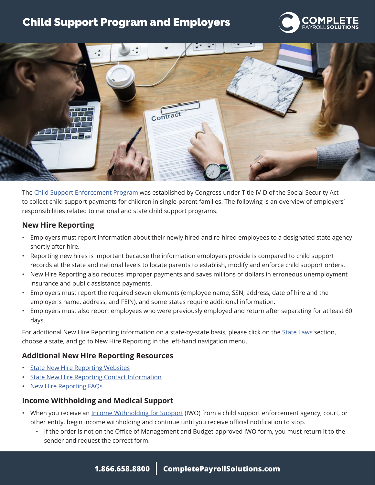# Child Support Program and Employers





The [Child Support Enforcement Program](https://www.acf.hhs.gov/css) was established by Congress under Title IV-D of the Social Security Act to collect child support payments for children in single-parent families. The following is an overview of employers' responsibilities related to national and state child support programs.

## **New Hire Reporting**

- Employers must report information about their newly hired and re-hired employees to a designated state agency shortly after hire.
- Reporting new hires is important because the information employers provide is compared to child support records at the state and national levels to locate parents to establish, modify and enforce child support orders.
- New Hire Reporting also reduces improper payments and saves millions of dollars in erroneous unemployment insurance and public assistance payments.
- Employers must report the required seven elements (employee name, SSN, address, date of hire and the employer's name, address, and FEIN), and some states require additional information.
- Employers must also report employees who were previously employed and return after separating for at least 60 days.

For additional New Hire Reporting information on a state-by-state basis, please click on the [State Laws](https://www.hr360.com/WorkArea/linkit.aspx?LinkIdentifier=id&ItemID=1017) section, choose a state, and go to New Hire Reporting in the left-hand navigation menu.

# **Additional New Hire Reporting Resources**

- **[State New Hire Reporting Websites](http://www.acf.hhs.gov/programs/css/resource/state-new-hire-reporting-websites)**
- **[State New Hire Reporting Contact Information](https://ocsp.acf.hhs.gov/irg/irgpdf.pdf?geoType=OGP&groupCode=EMP&addrType=NHR&addrClassType=EMP)**
- **[New Hire Reporting FAQs](http://www.acf.hhs.gov/programs/css/resource/new-hire-reporting-answers-to-employer-questions)**

## **Income Withholding and Medical Support**

- When you receive an *Income Withholding for Support* (IWO) from a child support enforcement agency, court, or other entity, begin income withholding and continue until you receive official notification to stop.
	- If the order is not on the Office of Management and Budget-approved IWO form, you must return it to the sender and request the correct form.